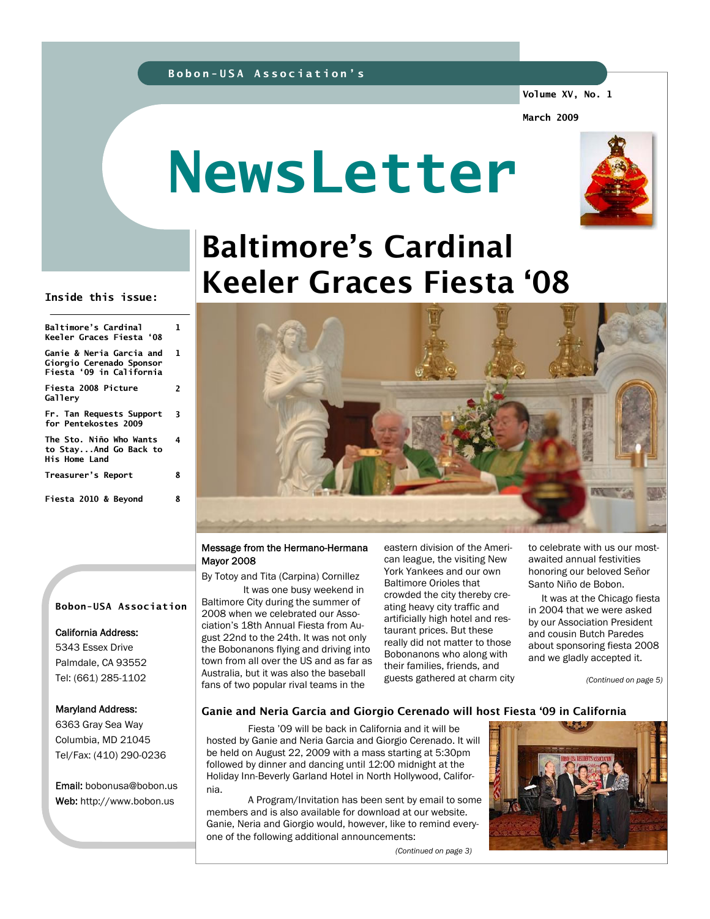**Volume XV, No. 1** 

**March 2009** 

# **NewsLetter**



## Baltimore's Cardinal Keeler Graces Fiesta '08

#### **Inside this issue:**

| <b>Baltimore's Cardinal</b><br>Keeler Graces Fiesta '08                                     | 1 |
|---------------------------------------------------------------------------------------------|---|
| <b>Ganie &amp; Neria Garcia and</b><br>Giorgio Cerenado Sponsor<br>Fiesta '09 in California | 1 |
| <b>Fiesta 2008 Picture</b><br>Gallery                                                       | 2 |
| Fr. Tan Requests Support<br>for Pentekostes 2009                                            | 3 |
| The Sto. Niño Who Wants<br>to StayAnd Go Back to<br><b>His Home Land</b>                    | 4 |
| Treasurer's Report                                                                          | 8 |
| Fiesta 2010 & Beyond                                                                        | 8 |

## **Bobon-USA Association**

#### California Address:

5343 Essex Drive Palmdale, CA 93552 Tel: (661) 285-1102

#### Maryland Address:

6363 Gray Sea Way Columbia, MD 21045 Tel/Fax: (410) 290-0236

Email: bobonusa@bobon.us Web: http://www.bobon.us

#### Message from the Hermano-Hermana Mayor 2008

By Totoy and Tita (Carpina) Cornillez

 It was one busy weekend in Baltimore City during the summer of 2008 when we celebrated our Association's 18th Annual Fiesta from August 22nd to the 24th. It was not only the Bobonanons flying and driving into town from all over the US and as far as Australia, but it was also the baseball fans of two popular rival teams in the

eastern division of the American league, the visiting New York Yankees and our own Baltimore Orioles that crowded the city thereby creating heavy city traffic and artificially high hotel and restaurant prices. But these really did not matter to those Bobonanons who along with their families, friends, and guests gathered at charm city to celebrate with us our mostawaited annual festivities honoring our beloved Señor Santo Niño de Bobon.

 It was at the Chicago fiesta in 2004 that we were asked by our Association President and cousin Butch Paredes about sponsoring fiesta 2008 and we gladly accepted it.

*(Continued on page 5)* 

#### Ganie and Neria Garcia and Giorgio Cerenado will host Fiesta '09 in California

Fiesta '09 will be back in California and it will be hosted by Ganie and Neria Garcia and Giorgio Cerenado. It will be held on August 22, 2009 with a mass starting at 5:30pm followed by dinner and dancing until 12:00 midnight at the Holiday Inn-Beverly Garland Hotel in North Hollywood, California.

 A Program/Invitation has been sent by email to some members and is also available for download at our website. Ganie, Neria and Giorgio would, however, like to remind everyone of the following additional announcements:

*(Continued on page 3)* 

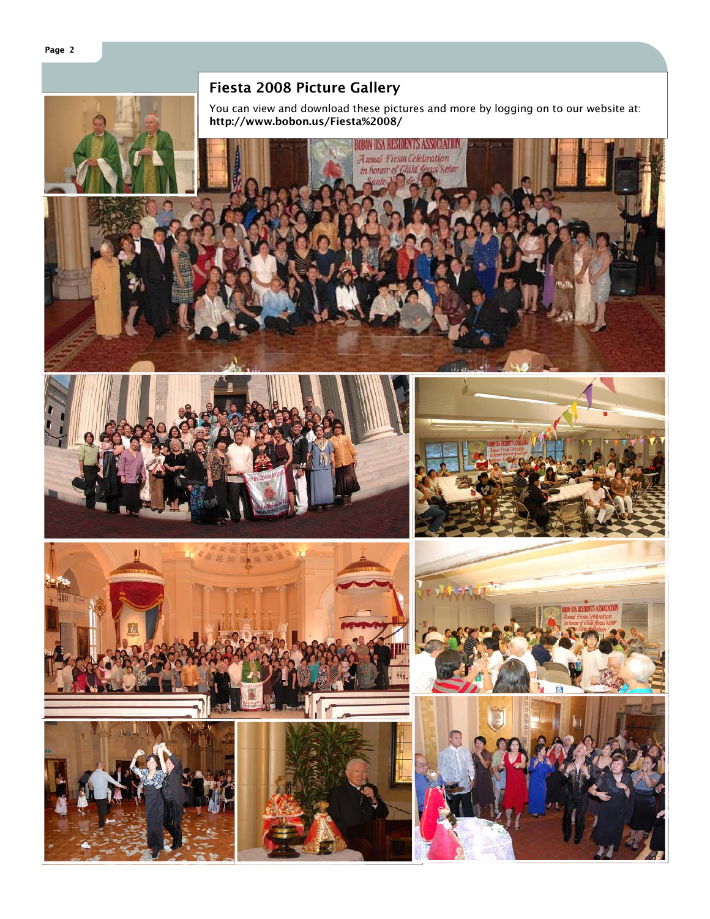## Fiesta 2008 Picture Gallery

You can view and download these pictures and more by logging on to our website at: http://www.bobon.us/Fiesta%2008/















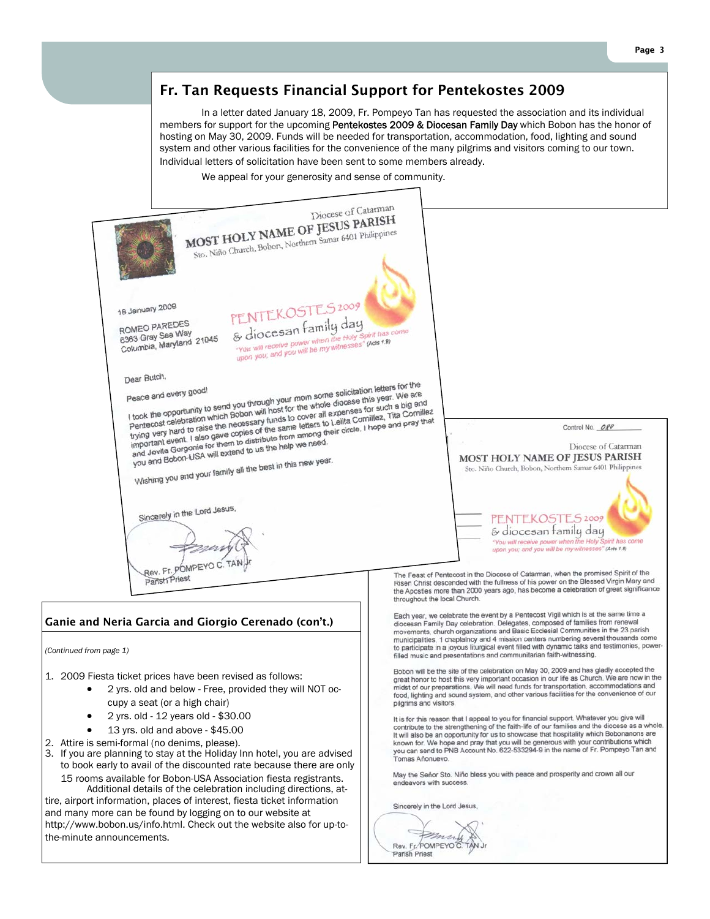## Fr. Tan Requests Financial Support for Pentekostes 2009

 In a letter dated January 18, 2009, Fr. Pompeyo Tan has requested the association and its individual members for support for the upcoming Pentekostes 2009 & Diocesan Family Day which Bobon has the honor of hosting on May 30, 2009. Funds will be needed for transportation, accommodation, food, lighting and sound system and other various facilities for the convenience of the many pilgrims and visitors coming to our town. Individual letters of solicitation have been sent to some members already.

We appeal for your generosity and sense of community.

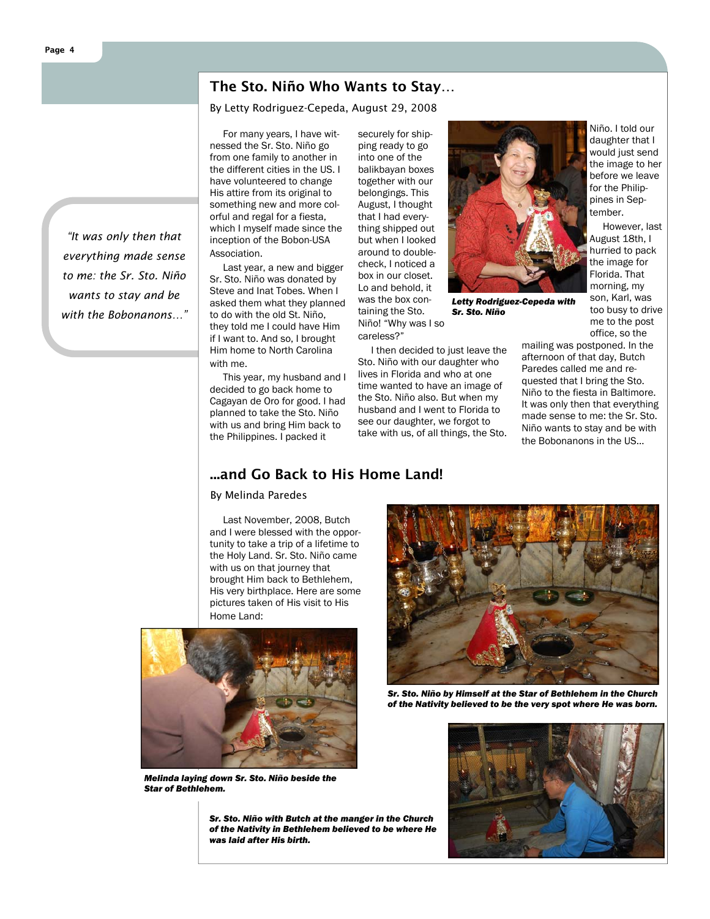#### The Sto. Niño Who Wants to Stay…

By Letty Rodriguez-Cepeda, August 29, 2008

*"It was only then that* 

 For many years, I have witnessed the Sr. Sto. Niño go from one family to another in the different cities in the US. I have volunteered to change His attire from its original to something new and more colorful and regal for a fiesta, which I myself made since the inception of the Bobon-USA Association.

 Last year, a new and bigger Sr. Sto. Niño was donated by Steve and Inat Tobes. When I asked them what they planned to do with the old St. Niño, they told me I could have Him if I want to. And so, I brought Him home to North Carolina with me.

 This year, my husband and I decided to go back home to Cagayan de Oro for good. I had planned to take the Sto. Niño with us and bring Him back to the Philippines. I packed it

securely for shipping ready to go into one of the balikbayan boxes together with our belongings. This August, I thought that I had everything shipped out but when I looked around to doublecheck, I noticed a box in our closet. Lo and behold, it was the box containing the Sto. Niño! "Why was I so

careless?"

 I then decided to just leave the Sto. Niño with our daughter who lives in Florida and who at one time wanted to have an image of the Sto. Niño also. But when my husband and I went to Florida to see our daughter, we forgot to take with us, of all things, the Sto.

*Letty Rodriguez-Cepeda with Sr. Sto. Niño* 

Niño. I told our daughter that I would just send the image to her before we leave for the Philippines in September.

 However, last August 18th, I hurried to pack the image for Florida. That morning, my son, Karl, was too busy to drive me to the post office, so the

mailing was postponed. In the afternoon of that day, Butch Paredes called me and requested that I bring the Sto. Niño to the fiesta in Baltimore. It was only then that everything made sense to me: the Sr. Sto. Niño wants to stay and be with the Bobonanons in the US…

## ...and Go Back to His Home Land!

By Melinda Paredes

 Last November, 2008, Butch and I were blessed with the opportunity to take a trip of a lifetime to the Holy Land. Sr. Sto. Niño came with us on that journey that brought Him back to Bethlehem, His very birthplace. Here are some pictures taken of His visit to His Home Land:



*Melinda laying down Sr. Sto. Niño beside the Star of Bethlehem.* 

*Sr. Sto. Niño with Butch at the manger in the Church of the Nativity in Bethlehem believed to be where He was laid after His birth.* 



*Sr. Sto. Niño by Himself at the Star of Bethlehem in the Church of the Nativity believed to be the very spot where He was born.* 



## *everything made sense to me: the Sr. Sto. Niño wants to stay and be with the Bobonanons…"*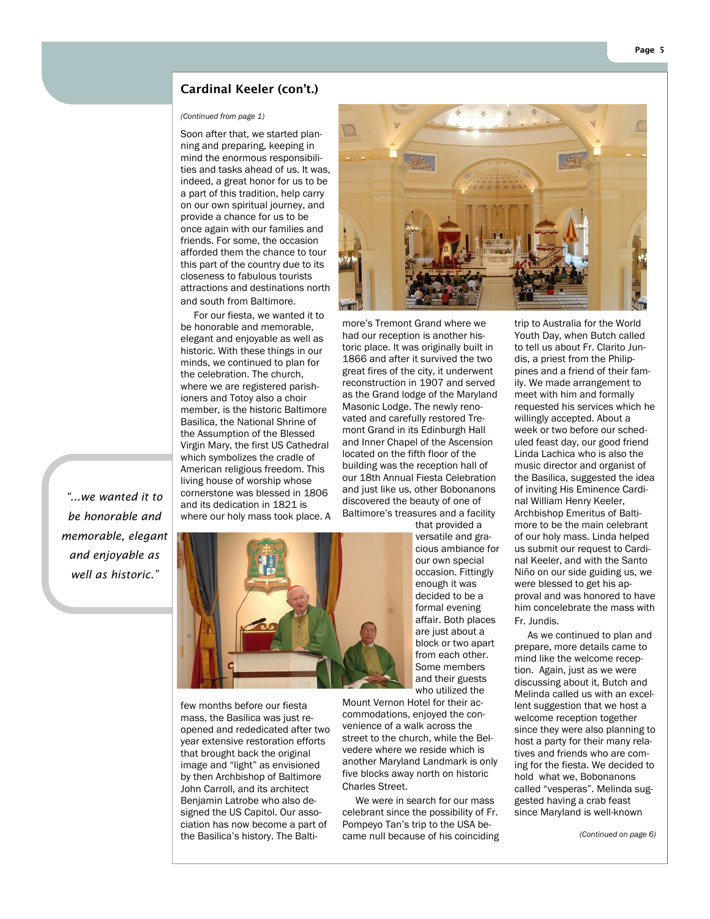#### Cardinal Keeler (con't.)

#### *(Continued from page 1)*

Soon after that, we started planning and preparing, keeping in mind the enormous responsibilities and tasks ahead of us. It was, indeed, a great honor for us to be a part of this tradition, help carry on our own spiritual journey, and provide a chance for us to be once again with our families and friends. For some, the occasion afforded them the chance to tour this part of the country due to its closeness to fabulous tourists attractions and destinations north and south from Baltimore.

 For our fiesta, we wanted it to be honorable and memorable, elegant and enjoyable as well as historic. With these things in our minds, we continued to plan for the celebration. The church, where we are registered parishioners and Totoy also a choir member, is the historic Baltimore Basilica, the National Shrine of the Assumption of the Blessed Virgin Mary, the first US Cathedral which symbolizes the cradle of American religious freedom. This living house of worship whose cornerstone was blessed in 1806 and its dedication in 1821 is where our holy mass took place. A

*"...we wanted it to be honorable and memorable, elegant and enjoyable as well as historic."* 



image and "light" as envisioned by then Archbishop of Baltimore John Carroll, and its architect Benjamin Latrobe who also designed the US Capitol. Our association has now become a part of the Basilica's history. The Balti-



more's Tremont Grand where we had our reception is another historic place. It was originally built in 1866 and after it survived the two great fires of the city, it underwent reconstruction in 1907 and served as the Grand lodge of the Maryland Masonic Lodge. The newly renovated and carefully restored Tremont Grand in its Edinburgh Hall and Inner Chapel of the Ascension located on the fifth floor of the building was the reception hall of our 18th Annual Fiesta Celebration and just like us, other Bobonanons discovered the beauty of one of Baltimore's treasures and a facility that provided a

versatile and gracious ambiance for our own special occasion. Fittingly enough it was decided to be a formal evening affair. Both places are just about a block or two apart from each other. Some members and their guests who utilized the

Mount Vernon Hotel for their accommodations, enjoyed the convenience of a walk across the street to the church, while the Belvedere where we reside which is another Maryland Landmark is only five blocks away north on historic Charles Street.

 We were in search for our mass celebrant since the possibility of Fr. Pompeyo Tan's trip to the USA became null because of his coinciding

trip to Australia for the World Youth Day, when Butch called to tell us about Fr. Clarito Jundis, a priest from the Philippines and a friend of their family. We made arrangement to meet with him and formally requested his services which he willingly accepted. About a week or two before our scheduled feast day, our good friend Linda Lachica who is also the music director and organist of the Basilica, suggested the idea of inviting His Eminence Cardinal William Henry Keeler, Archbishop Emeritus of Baltimore to be the main celebrant of our holy mass. Linda helped us submit our request to Cardinal Keeler, and with the Santo Niño on our side guiding us, we were blessed to get his approval and was honored to have him concelebrate the mass with Fr. Jundis.

 As we continued to plan and prepare, more details came to mind like the welcome reception. Again, just as we were discussing about it, Butch and Melinda called us with an excellent suggestion that we host a welcome reception together since they were also planning to host a party for their many relatives and friends who are coming for the fiesta. We decided to hold what we, Bobonanons called "vesperas". Melinda suggested having a crab feast since Maryland is well-known

*(Continued on page 6)*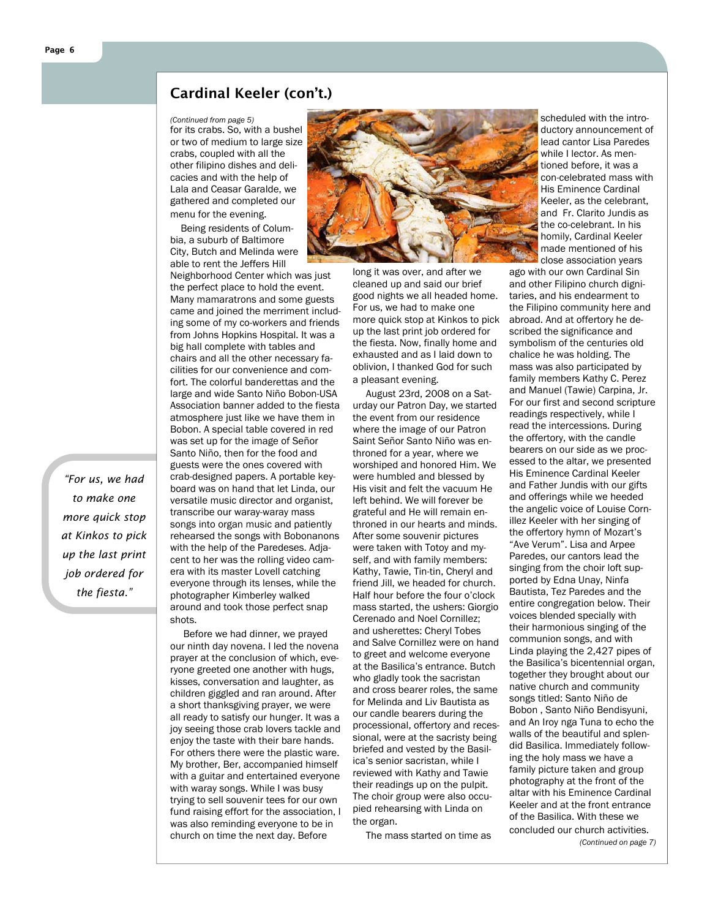#### Cardinal Keeler (con't.)

#### *(Continued from page 5)*

for its crabs. So, with a bushel or two of medium to large size crabs, coupled with all the other filipino dishes and delicacies and with the help of Lala and Ceasar Garalde, we gathered and completed our menu for the evening.

 Being residents of Columbia, a suburb of Baltimore City, Butch and Melinda were able to rent the Jeffers Hill

Neighborhood Center which was just the perfect place to hold the event. Many mamaratrons and some guests came and joined the merriment including some of my co-workers and friends from Johns Hopkins Hospital. It was a big hall complete with tables and chairs and all the other necessary facilities for our convenience and comfort. The colorful banderettas and the large and wide Santo Niño Bobon-USA Association banner added to the fiesta atmosphere just like we have them in Bobon. A special table covered in red was set up for the image of Señor Santo Niño, then for the food and guests were the ones covered with crab-designed papers. A portable keyboard was on hand that let Linda, our versatile music director and organist, transcribe our waray-waray mass songs into organ music and patiently rehearsed the songs with Bobonanons with the help of the Paredeses. Adjacent to her was the rolling video camera with its master Lovell catching everyone through its lenses, while the photographer Kimberley walked around and took those perfect snap shots.

 Before we had dinner, we prayed our ninth day novena. I led the novena prayer at the conclusion of which, everyone greeted one another with hugs, kisses, conversation and laughter, as children giggled and ran around. After a short thanksgiving prayer, we were all ready to satisfy our hunger. It was a joy seeing those crab lovers tackle and enjoy the taste with their bare hands. For others there were the plastic ware. My brother, Ber, accompanied himself with a guitar and entertained everyone with waray songs. While I was busy trying to sell souvenir tees for our own fund raising effort for the association, I was also reminding everyone to be in church on time the next day. Before



long it was over, and after we cleaned up and said our brief good nights we all headed home. For us, we had to make one more quick stop at Kinkos to pick up the last print job ordered for the fiesta. Now, finally home and exhausted and as I laid down to oblivion, I thanked God for such a pleasant evening.

 August 23rd, 2008 on a Saturday our Patron Day, we started the event from our residence where the image of our Patron Saint Señor Santo Niño was enthroned for a year, where we worshiped and honored Him. We were humbled and blessed by His visit and felt the vacuum He left behind. We will forever be grateful and He will remain enthroned in our hearts and minds. After some souvenir pictures were taken with Totoy and myself, and with family members: Kathy, Tawie, Tin-tin, Cheryl and friend Jill, we headed for church. Half hour before the four o'clock mass started, the ushers: Giorgio Cerenado and Noel Cornillez; and usherettes: Cheryl Tobes and Salve Cornillez were on hand to greet and welcome everyone at the Basilica's entrance. Butch who gladly took the sacristan and cross bearer roles, the same for Melinda and Liv Bautista as our candle bearers during the processional, offertory and recessional, were at the sacristy being briefed and vested by the Basilica's senior sacristan, while I reviewed with Kathy and Tawie their readings up on the pulpit. The choir group were also occupied rehearsing with Linda on the organ.

The mass started on time as

scheduled with the introductory announcement of lead cantor Lisa Paredes while I lector. As mentioned before, it was a con-celebrated mass with His Eminence Cardinal Keeler, as the celebrant, and Fr. Clarito Jundis as the co-celebrant. In his homily, Cardinal Keeler made mentioned of his close association years

ago with our own Cardinal Sin and other Filipino church dignitaries, and his endearment to the Filipino community here and abroad. And at offertory he described the significance and symbolism of the centuries old chalice he was holding. The mass was also participated by family members Kathy C. Perez and Manuel (Tawie) Carpina, Jr. For our first and second scripture readings respectively, while I read the intercessions. During the offertory, with the candle bearers on our side as we processed to the altar, we presented His Eminence Cardinal Keeler and Father Jundis with our gifts and offerings while we heeded the angelic voice of Louise Cornillez Keeler with her singing of the offertory hymn of Mozart's "Ave Verum". Lisa and Arpee Paredes, our cantors lead the singing from the choir loft supported by Edna Unay, Ninfa Bautista, Tez Paredes and the entire congregation below. Their voices blended specially with their harmonious singing of the communion songs, and with Linda playing the 2,427 pipes of the Basilica's bicentennial organ, together they brought about our native church and community songs titled: Santo Niño de Bobon , Santo Niño Bendisyuni, and An Iroy nga Tuna to echo the walls of the beautiful and splendid Basilica. Immediately following the holy mass we have a family picture taken and group photography at the front of the altar with his Eminence Cardinal Keeler and at the front entrance of the Basilica. With these we concluded our church activities.

*(Continued on page 7)* 

*"For us, we had to make one more quick stop at Kinkos to pick up the last print job ordered for the fiesta."*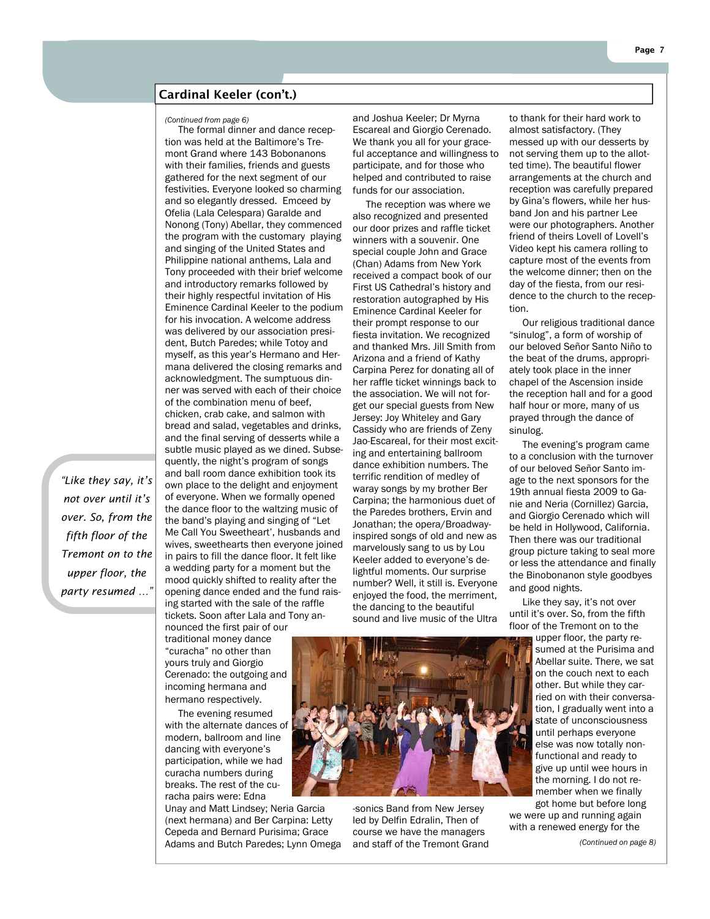#### Cardinal Keeler (con't.)

 The formal dinner and dance reception was held at the Baltimore's Tremont Grand where 143 Bobonanons with their families, friends and guests gathered for the next segment of our festivities. Everyone looked so charming and so elegantly dressed. Emceed by Ofelia (Lala Celespara) Garalde and Nonong (Tony) Abellar, they commenced the program with the customary playing and singing of the United States and Philippine national anthems, Lala and Tony proceeded with their brief welcome and introductory remarks followed by their highly respectful invitation of His Eminence Cardinal Keeler to the podium for his invocation. A welcome address was delivered by our association president, Butch Paredes; while Totoy and myself, as this year's Hermano and Hermana delivered the closing remarks and acknowledgment. The sumptuous dinner was served with each of their choice of the combination menu of beef, chicken, crab cake, and salmon with bread and salad, vegetables and drinks, and the final serving of desserts while a subtle music played as we dined. Subsequently, the night's program of songs and ball room dance exhibition took its own place to the delight and enjoyment of everyone. When we formally opened the dance floor to the waltzing music of the band's playing and singing of "Let Me Call You Sweetheart', husbands and wives, sweethearts then everyone joined in pairs to fill the dance floor. It felt like a wedding party for a moment but the mood quickly shifted to reality after the opening dance ended and the fund raising started with the sale of the raffle tickets. Soon after Lala and Tony announced the first pair of our

traditional money dance "curacha" no other than yours truly and Giorgio Cerenado: the outgoing and incoming hermana and hermano respectively.

*"Like they say, it's not over until it's over. So, from the fifth floor of the Tremont on to the upper floor, the party resumed …"* 

> The evening resumed with the alternate dances of modern, ballroom and line dancing with everyone's participation, while we had curacha numbers during breaks. The rest of the curacha pairs were: Edna

Unay and Matt Lindsey; Neria Garcia (next hermana) and Ber Carpina: Letty Cepeda and Bernard Purisima; Grace Adams and Butch Paredes; Lynn Omega

*(Continued from page 6)* and Joshua Keeler; Dr Myrna Escareal and Giorgio Cerenado. We thank you all for your graceful acceptance and willingness to participate, and for those who helped and contributed to raise funds for our association.

> The reception was where we also recognized and presented our door prizes and raffle ticket winners with a souvenir. One special couple John and Grace (Chan) Adams from New York received a compact book of our First US Cathedral's history and restoration autographed by His Eminence Cardinal Keeler for their prompt response to our fiesta invitation. We recognized and thanked Mrs. Jill Smith from Arizona and a friend of Kathy Carpina Perez for donating all of her raffle ticket winnings back to the association. We will not forget our special guests from New Jersey: Joy Whiteley and Gary Cassidy who are friends of Zeny Jao-Escareal, for their most exciting and entertaining ballroom dance exhibition numbers. The terrific rendition of medley of waray songs by my brother Ber Carpina; the harmonious duet of the Paredes brothers, Ervin and Jonathan; the opera/Broadwayinspired songs of old and new as marvelously sang to us by Lou Keeler added to everyone's delightful moments. Our surprise number? Well, it still is. Everyone enjoyed the food, the merriment, the dancing to the beautiful sound and live music of the Ultra

to thank for their hard work to almost satisfactory. (They messed up with our desserts by not serving them up to the allotted time). The beautiful flower arrangements at the church and reception was carefully prepared by Gina's flowers, while her husband Jon and his partner Lee were our photographers. Another friend of theirs Lovell of Lovell's Video kept his camera rolling to capture most of the events from the welcome dinner; then on the day of the fiesta, from our residence to the church to the reception.

 Our religious traditional dance "sinulog", a form of worship of our beloved Señor Santo Niño to the beat of the drums, appropriately took place in the inner chapel of the Ascension inside the reception hall and for a good half hour or more, many of us prayed through the dance of sinulog.

 The evening's program came to a conclusion with the turnover of our beloved Señor Santo image to the next sponsors for the 19th annual fiesta 2009 to Ganie and Neria (Cornillez) Garcia, and Giorgio Cerenado which will be held in Hollywood, California. Then there was our traditional group picture taking to seal more or less the attendance and finally the Binobonanon style goodbyes and good nights.

 Like they say, it's not over until it's over. So, from the fifth floor of the Tremont on to the

upper floor, the party resumed at the Purisima and Abellar suite. There, we sat on the couch next to each other. But while they carried on with their conversation, I gradually went into a state of unconsciousness until perhaps everyone else was now totally nonfunctional and ready to give up until wee hours in the morning. I do not remember when we finally got home but before long

we were up and running again with a renewed energy for the

*(Continued on page 8)* 



-sonics Band from New Jersey led by Delfin Edralin, Then of course we have the managers and staff of the Tremont Grand